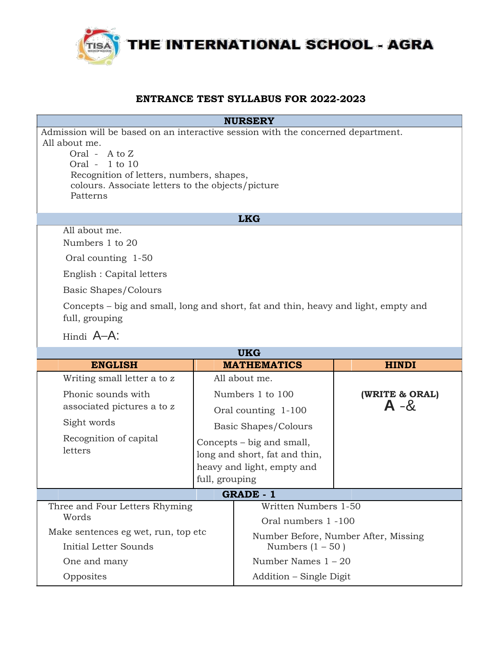

## **ENTRANCE TEST SYLLABUS FOR 2022-2023**

|                                                                                                                                                                                                                                                       | <b>NURSERY</b>      |                                          |                                      |  |  |  |
|-------------------------------------------------------------------------------------------------------------------------------------------------------------------------------------------------------------------------------------------------------|---------------------|------------------------------------------|--------------------------------------|--|--|--|
| Admission will be based on an interactive session with the concerned department.<br>All about me.<br>Oral - A to Z<br>Oral - $1$ to $10$<br>Recognition of letters, numbers, shapes,<br>colours. Associate letters to the objects/picture<br>Patterns |                     |                                          |                                      |  |  |  |
|                                                                                                                                                                                                                                                       |                     | <b>LKG</b>                               |                                      |  |  |  |
| All about me.<br>Numbers 1 to 20                                                                                                                                                                                                                      |                     |                                          |                                      |  |  |  |
| Oral counting 1-50                                                                                                                                                                                                                                    |                     |                                          |                                      |  |  |  |
| English : Capital letters                                                                                                                                                                                                                             |                     |                                          |                                      |  |  |  |
| Basic Shapes/Colours                                                                                                                                                                                                                                  |                     |                                          |                                      |  |  |  |
| Concepts - big and small, long and short, fat and thin, heavy and light, empty and<br>full, grouping                                                                                                                                                  |                     |                                          |                                      |  |  |  |
| Hindi A-A:                                                                                                                                                                                                                                            |                     |                                          |                                      |  |  |  |
|                                                                                                                                                                                                                                                       |                     | <b>UKG</b>                               |                                      |  |  |  |
| <b>ENGLISH</b>                                                                                                                                                                                                                                        |                     | <b>MATHEMATICS</b>                       | <b>HINDI</b>                         |  |  |  |
| Writing small letter a to z                                                                                                                                                                                                                           | All about me.       |                                          |                                      |  |  |  |
| Phonic sounds with<br>associated pictures a to z                                                                                                                                                                                                      |                     | Numbers 1 to 100                         | (WRITE & ORAL)<br>$A - 8$            |  |  |  |
|                                                                                                                                                                                                                                                       | Oral counting 1-100 |                                          |                                      |  |  |  |
|                                                                                                                                                                                                                                                       |                     |                                          |                                      |  |  |  |
| Sight words                                                                                                                                                                                                                                           |                     | Basic Shapes/Colours                     |                                      |  |  |  |
| Recognition of capital                                                                                                                                                                                                                                |                     | Concepts – big and small,                |                                      |  |  |  |
| letters                                                                                                                                                                                                                                               |                     | long and short, fat and thin,            |                                      |  |  |  |
|                                                                                                                                                                                                                                                       |                     | heavy and light, empty and               |                                      |  |  |  |
|                                                                                                                                                                                                                                                       | full, grouping      |                                          |                                      |  |  |  |
| Three and Four Letters Rhyming                                                                                                                                                                                                                        |                     | <b>GRADE - 1</b><br>Written Numbers 1-50 |                                      |  |  |  |
| Words                                                                                                                                                                                                                                                 |                     | Oral numbers 1 -100                      |                                      |  |  |  |
| Make sentences eg wet, run, top etc                                                                                                                                                                                                                   |                     |                                          |                                      |  |  |  |
| Initial Letter Sounds                                                                                                                                                                                                                                 |                     | Numbers $(1 - 50)$                       | Number Before, Number After, Missing |  |  |  |
| One and many                                                                                                                                                                                                                                          |                     | Number Names $1 - 20$                    |                                      |  |  |  |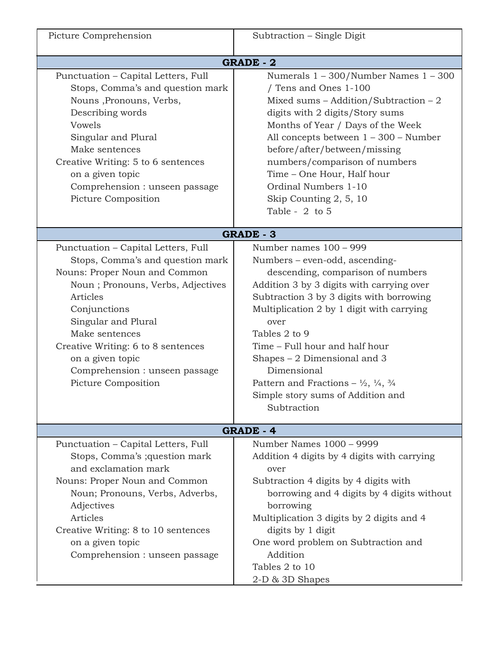| Picture Comprehension                                                                                                                                                                                                                                                                                                                 | Subtraction - Single Digit                                                                                                                                                                                                                                                                                                                                                                                                                                                  |  |  |  |
|---------------------------------------------------------------------------------------------------------------------------------------------------------------------------------------------------------------------------------------------------------------------------------------------------------------------------------------|-----------------------------------------------------------------------------------------------------------------------------------------------------------------------------------------------------------------------------------------------------------------------------------------------------------------------------------------------------------------------------------------------------------------------------------------------------------------------------|--|--|--|
|                                                                                                                                                                                                                                                                                                                                       |                                                                                                                                                                                                                                                                                                                                                                                                                                                                             |  |  |  |
| Punctuation - Capital Letters, Full<br>Stops, Comma's and question mark<br>Nouns, Pronouns, Verbs,<br>Describing words<br>Vowels<br>Singular and Plural<br>Make sentences<br>Creative Writing: 5 to 6 sentences<br>on a given topic<br>Comprehension : unseen passage<br>Picture Composition                                          | <b>GRADE - 2</b><br>Numerals $1 - 300$ /Number Names $1 - 300$<br>Tens and Ones 1-100<br>Mixed sums $-$ Addition/Subtraction $-2$<br>digits with 2 digits/Story sums<br>Months of Year / Days of the Week<br>All concepts between $1 - 300$ – Number<br>before/after/between/missing<br>numbers/comparison of numbers<br>Time - One Hour, Half hour<br>Ordinal Numbers 1-10<br>Skip Counting 2, 5, 10<br>Table - $2$ to 5                                                   |  |  |  |
| <b>GRADE - 3</b>                                                                                                                                                                                                                                                                                                                      |                                                                                                                                                                                                                                                                                                                                                                                                                                                                             |  |  |  |
| Punctuation - Capital Letters, Full<br>Stops, Comma's and question mark<br>Nouns: Proper Noun and Common<br>Noun; Pronouns, Verbs, Adjectives<br>Articles<br>Conjunctions<br>Singular and Plural<br>Make sentences<br>Creative Writing: 6 to 8 sentences<br>on a given topic<br>Comprehension : unseen passage<br>Picture Composition | Number names 100 - 999<br>Numbers – even-odd, ascending-<br>descending, comparison of numbers<br>Addition 3 by 3 digits with carrying over<br>Subtraction 3 by 3 digits with borrowing<br>Multiplication 2 by 1 digit with carrying<br>over<br>Tables 2 to 9<br>Time - Full hour and half hour<br>Shapes $-2$ Dimensional and 3<br>Dimensional<br>Pattern and Fractions – $\frac{1}{2}$ , $\frac{1}{4}$ , $\frac{3}{4}$<br>Simple story sums of Addition and<br>Subtraction |  |  |  |
| <b>GRADE - 4</b>                                                                                                                                                                                                                                                                                                                      |                                                                                                                                                                                                                                                                                                                                                                                                                                                                             |  |  |  |
| Punctuation - Capital Letters, Full<br>Stops, Comma's ; question mark<br>and exclamation mark<br>Nouns: Proper Noun and Common<br>Noun; Pronouns, Verbs, Adverbs,<br>Adjectives<br>Articles<br>Creative Writing: 8 to 10 sentences<br>on a given topic<br>Comprehension : unseen passage                                              | Number Names 1000 - 9999<br>Addition 4 digits by 4 digits with carrying<br>over<br>Subtraction 4 digits by 4 digits with<br>borrowing and 4 digits by 4 digits without<br>borrowing<br>Multiplication 3 digits by 2 digits and 4<br>digits by 1 digit<br>One word problem on Subtraction and<br>Addition<br>Tables 2 to 10<br>2-D & 3D Shapes                                                                                                                               |  |  |  |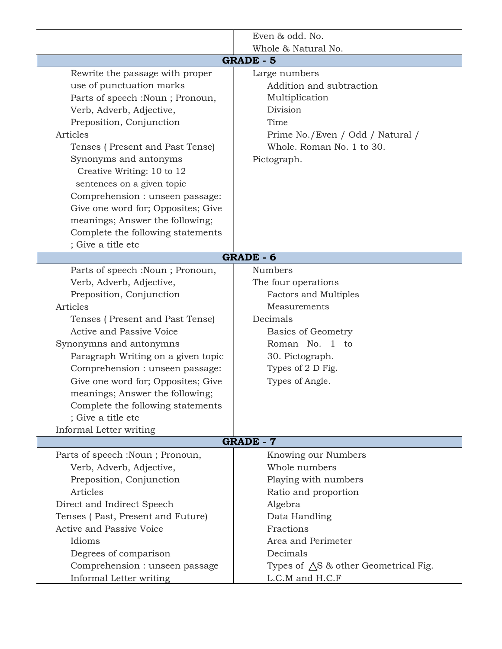|                                    | Even & odd. No.                                 |  |  |
|------------------------------------|-------------------------------------------------|--|--|
|                                    | Whole & Natural No.                             |  |  |
| <b>GRADE - 5</b>                   |                                                 |  |  |
| Rewrite the passage with proper    | Large numbers                                   |  |  |
| use of punctuation marks           | Addition and subtraction                        |  |  |
| Parts of speech :Noun ; Pronoun,   | Multiplication                                  |  |  |
| Verb, Adverb, Adjective,           | Division                                        |  |  |
| Preposition, Conjunction           | Time                                            |  |  |
| Articles                           | Prime No./Even / Odd / Natural /                |  |  |
| Tenses (Present and Past Tense)    | Whole, Roman No. 1 to 30.                       |  |  |
| Synonyms and antonyms              | Pictograph.                                     |  |  |
| Creative Writing: 10 to 12         |                                                 |  |  |
| sentences on a given topic         |                                                 |  |  |
| Comprehension : unseen passage:    |                                                 |  |  |
| Give one word for; Opposites; Give |                                                 |  |  |
| meanings; Answer the following;    |                                                 |  |  |
| Complete the following statements  |                                                 |  |  |
| ; Give a title etc                 |                                                 |  |  |
| <b>GRADE - 6</b>                   |                                                 |  |  |
| Parts of speech :Noun ; Pronoun,   | <b>Numbers</b>                                  |  |  |
| Verb, Adverb, Adjective,           | The four operations                             |  |  |
| Preposition, Conjunction           | <b>Factors and Multiples</b>                    |  |  |
| Articles                           | Measurements                                    |  |  |
| Tenses (Present and Past Tense)    | Decimals                                        |  |  |
| Active and Passive Voice           | <b>Basics of Geometry</b>                       |  |  |
| Synonymns and antonymns            | Roman No. 1<br>to                               |  |  |
| Paragraph Writing on a given topic | 30. Pictograph.                                 |  |  |
| Comprehension : unseen passage:    | Types of 2 D Fig.                               |  |  |
| Give one word for; Opposites; Give | Types of Angle.                                 |  |  |
| meanings; Answer the following;    |                                                 |  |  |
| Complete the following statements  |                                                 |  |  |
| ; Give a title etc                 |                                                 |  |  |
| Informal Letter writing            |                                                 |  |  |
| <b>GRADE - 7</b>                   |                                                 |  |  |
| Parts of speech :Noun ; Pronoun,   | Knowing our Numbers                             |  |  |
| Verb, Adverb, Adjective,           | Whole numbers                                   |  |  |
| Preposition, Conjunction           | Playing with numbers                            |  |  |
| Articles                           | Ratio and proportion                            |  |  |
| Direct and Indirect Speech         | Algebra                                         |  |  |
| Tenses (Past, Present and Future)  | Data Handling                                   |  |  |
| Active and Passive Voice           | Fractions                                       |  |  |
| Idioms                             | Area and Perimeter                              |  |  |
| Degrees of comparison              | Decimals                                        |  |  |
| Comprehension : unseen passage     | Types of $\triangle$ S & other Geometrical Fig. |  |  |
| Informal Letter writing            | L.C.M and H.C.F                                 |  |  |